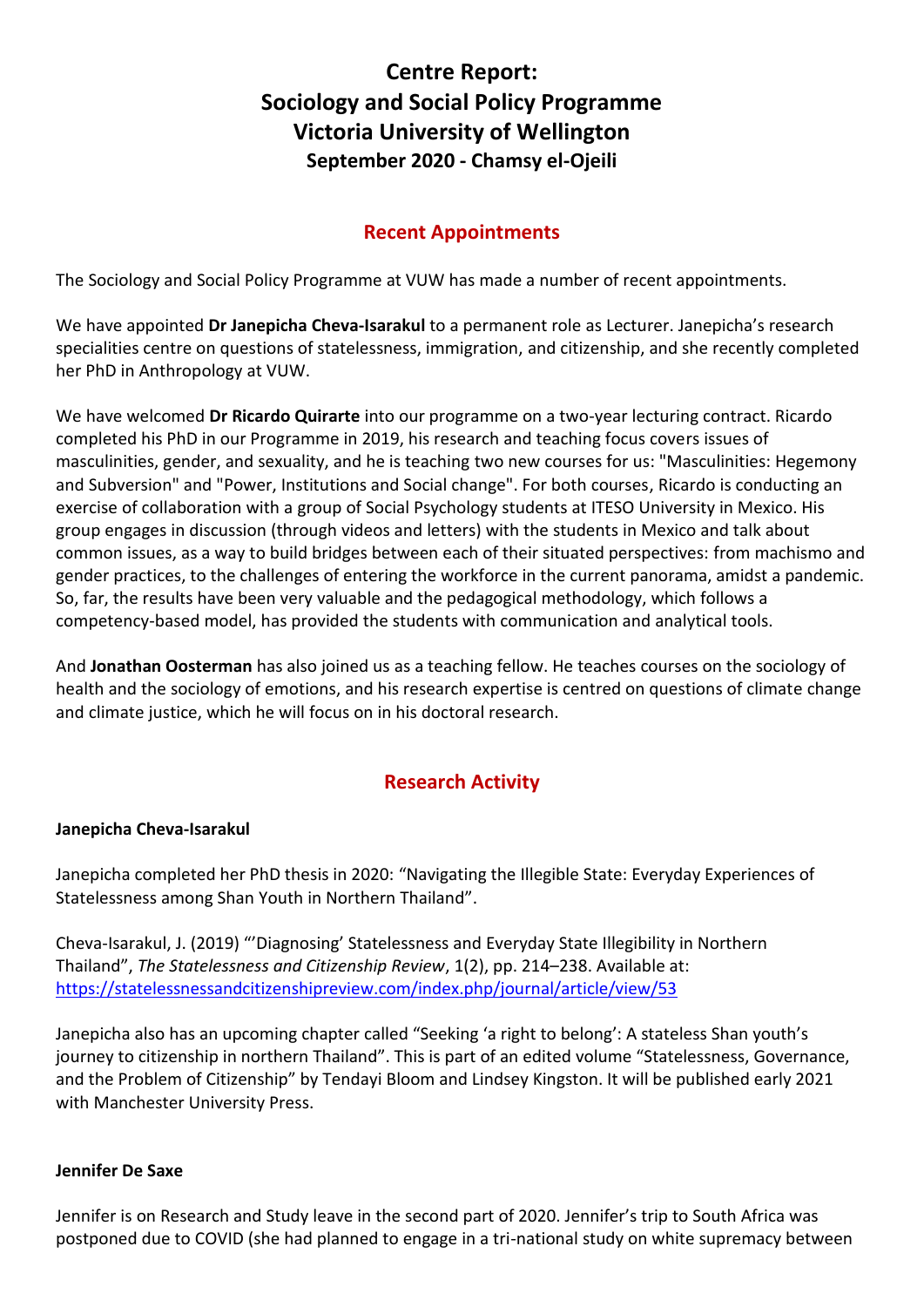# **Centre Report: Sociology and Social Policy Programme Victoria University of Wellington September 2020 - Chamsy el-Ojeili**

# **Recent Appointments**

The Sociology and Social Policy Programme at VUW has made a number of recent appointments.

We have appointed **Dr Janepicha Cheva-Isarakul** to a permanent role as Lecturer. Janepicha's research specialities centre on questions of statelessness, immigration, and citizenship, and she recently completed her PhD in Anthropology at VUW.

We have welcomed **Dr Ricardo Quirarte** into our programme on a two-year lecturing contract. Ricardo completed his PhD in our Programme in 2019, his research and teaching focus covers issues of masculinities, gender, and sexuality, and he is teaching two new courses for us: "Masculinities: Hegemony and Subversion" and "Power, Institutions and Social change". For both courses, Ricardo is conducting an exercise of collaboration with a group of Social Psychology students at ITESO University in Mexico. His group engages in discussion (through videos and letters) with the students in Mexico and talk about common issues, as a way to build bridges between each of their situated perspectives: from machismo and gender practices, to the challenges of entering the workforce in the current panorama, amidst a pandemic. So, far, the results have been very valuable and the pedagogical methodology, which follows a competency-based model, has provided the students with communication and analytical tools.

And **Jonathan Oosterman** has also joined us as a teaching fellow. He teaches courses on the sociology of health and the sociology of emotions, and his research expertise is centred on questions of climate change and climate justice, which he will focus on in his doctoral research.

## **Research Activity**

#### **Janepicha Cheva-Isarakul**

Janepicha completed her PhD thesis in 2020: "Navigating the Illegible State: Everyday Experiences of Statelessness among Shan Youth in Northern Thailand".

Cheva-Isarakul, J. (2019) "'Diagnosing' Statelessness and Everyday State Illegibility in Northern Thailand", *The Statelessness and Citizenship Review*, 1(2), pp. 214–238. Available at: <https://statelessnessandcitizenshipreview.com/index.php/journal/article/view/53>

Janepicha also has an upcoming chapter called "Seeking 'a right to belong': A stateless Shan youth's journey to citizenship in northern Thailand". This is part of an edited volume "Statelessness, Governance, and the Problem of Citizenship" by Tendayi Bloom and Lindsey Kingston. It will be published early 2021 with Manchester University Press.

#### **Jennifer De Saxe**

Jennifer is on Research and Study leave in the second part of 2020. Jennifer's trip to South Africa was postponed due to COVID (she had planned to engage in a tri-national study on white supremacy between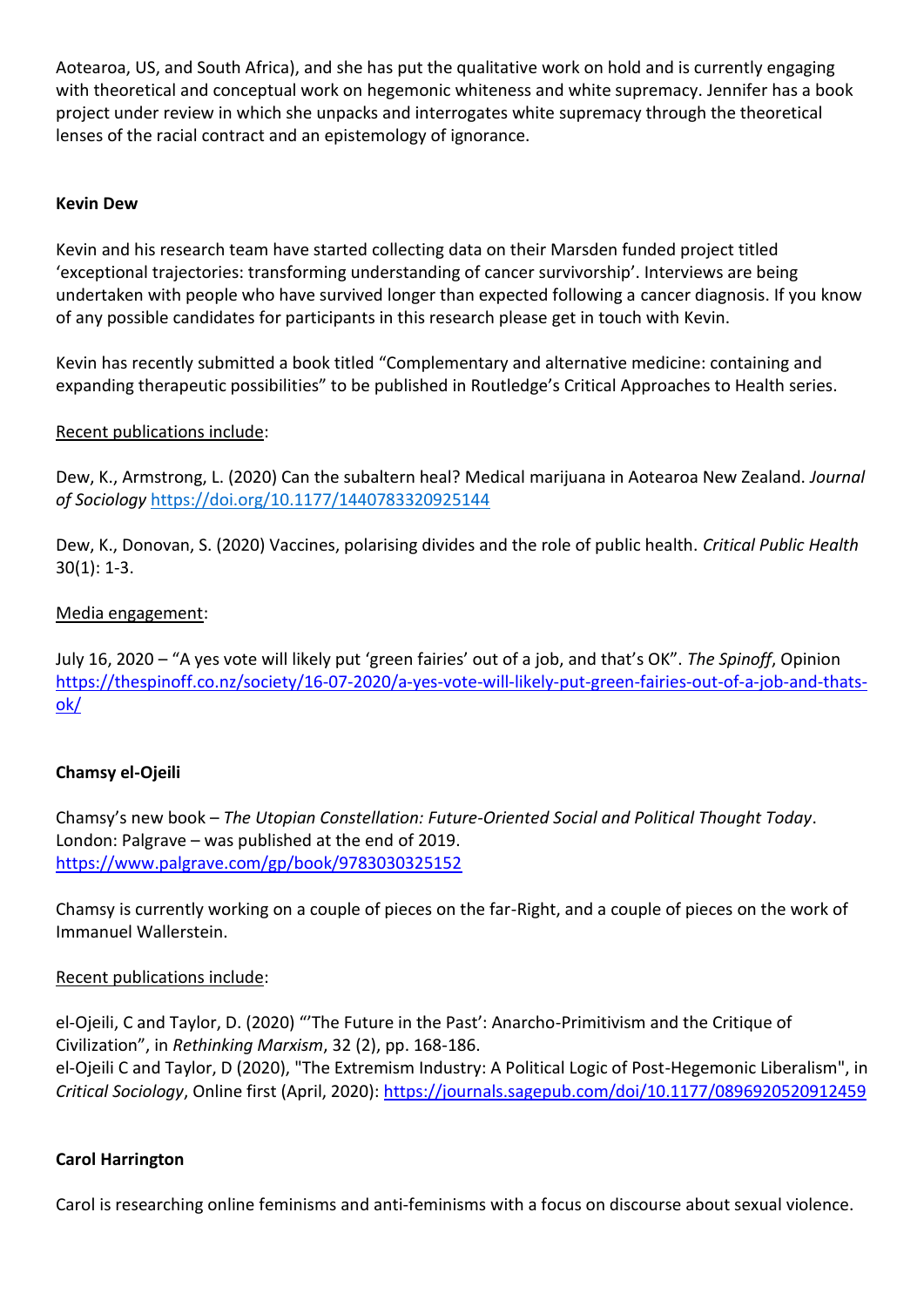Aotearoa, US, and South Africa), and she has put the qualitative work on hold and is currently engaging with theoretical and conceptual work on hegemonic whiteness and white supremacy. Jennifer has a book project under review in which she unpacks and interrogates white supremacy through the theoretical lenses of the racial contract and an epistemology of ignorance.

#### **Kevin Dew**

Kevin and his research team have started collecting data on their Marsden funded project titled 'exceptional trajectories: transforming understanding of cancer survivorship'. Interviews are being undertaken with people who have survived longer than expected following a cancer diagnosis. If you know of any possible candidates for participants in this research please get in touch with Kevin.

Kevin has recently submitted a book titled "Complementary and alternative medicine: containing and expanding therapeutic possibilities" to be published in Routledge's Critical Approaches to Health series.

### Recent publications include:

Dew, K., Armstrong, L. (2020) Can the subaltern heal? Medical marijuana in Aotearoa New Zealand. *Journal of Sociology* [https://doi.org/10.1177/1440783320925144](https://doi.org/10.1177%2F1440783320925144)

Dew, K., Donovan, S. (2020) Vaccines, polarising divides and the role of public health. *Critical Public Health* 30(1): 1-3.

#### Media engagement:

July 16, 2020 – "A yes vote will likely put 'green fairies' out of a job, and that's OK". *The Spinoff*, Opinion [https://thespinoff.co.nz/society/16-07-2020/a-yes-vote-will-likely-put-green-fairies-out-of-a-job-and-thats](https://thespinoff.co.nz/society/16-07-2020/a-yes-vote-will-likely-put-green-fairies-out-of-a-job-and-thats-ok/)[ok/](https://thespinoff.co.nz/society/16-07-2020/a-yes-vote-will-likely-put-green-fairies-out-of-a-job-and-thats-ok/)

### **Chamsy el-Ojeili**

Chamsy's new book – *The Utopian Constellation: Future-Oriented Social and Political Thought Today*. London: Palgrave – was published at the end of 2019. <https://www.palgrave.com/gp/book/9783030325152>

Chamsy is currently working on a couple of pieces on the far-Right, and a couple of pieces on the work of Immanuel Wallerstein.

#### Recent publications include:

el-Ojeili, C and Taylor, D. (2020) "'The Future in the Past': Anarcho-Primitivism and the Critique of Civilization", in *Rethinking Marxism*, 32 (2), pp. 168-186. el-Ojeili C and Taylor, D (2020), "The Extremism Industry: A Political Logic of Post-Hegemonic Liberalism", in *Critical Sociology*, Online first (April, 2020):<https://journals.sagepub.com/doi/10.1177/0896920520912459>

#### **Carol Harrington**

Carol is researching online feminisms and anti-feminisms with a focus on discourse about sexual violence.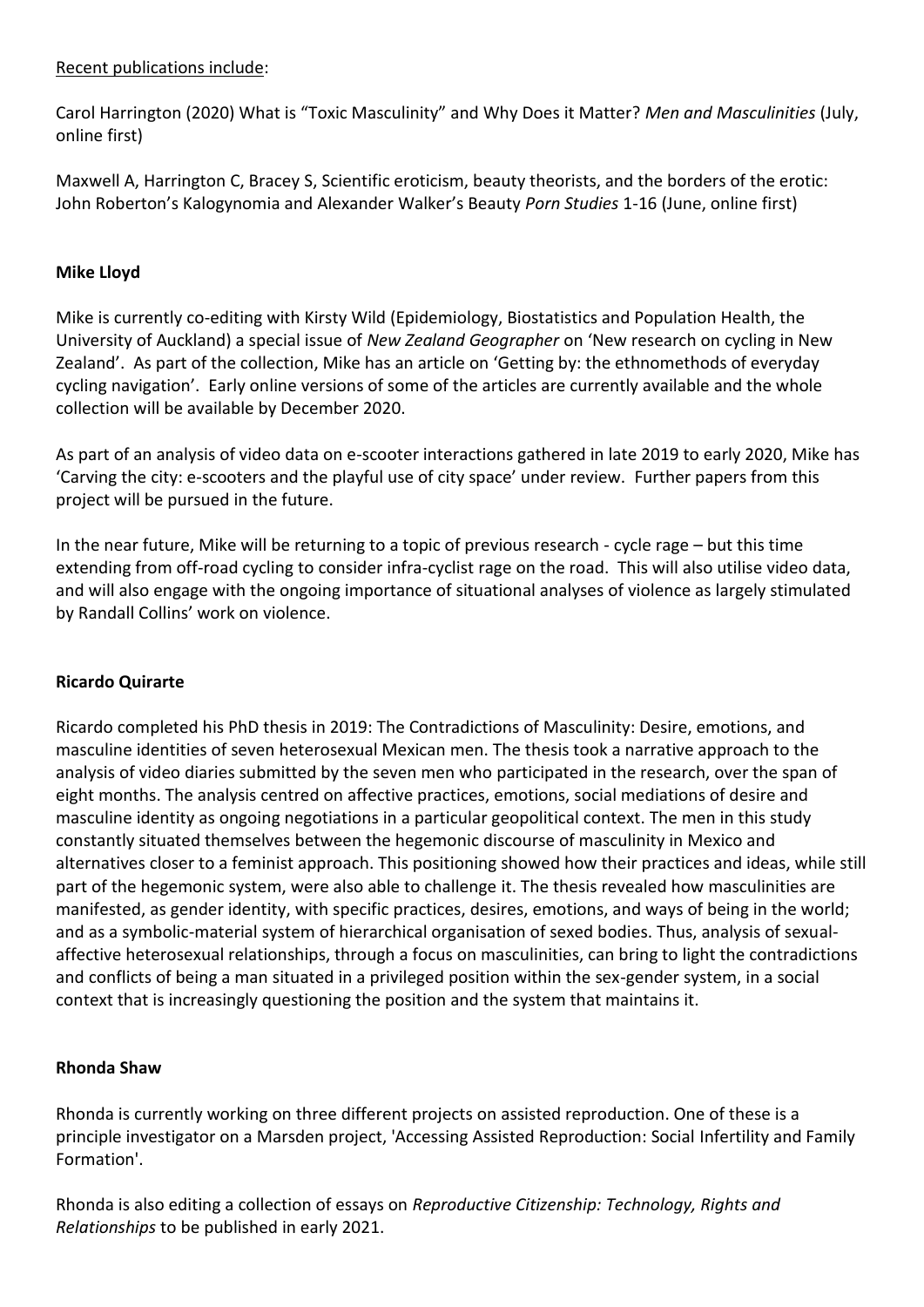#### Recent publications include:

Carol Harrington (2020) What is "Toxic Masculinity" and Why Does it Matter? *Men and Masculinities* (July, online first)

Maxwell A, Harrington C, Bracey S, Scientific eroticism, beauty theorists, and the borders of the erotic: John Roberton's Kalogynomia and Alexander Walker's Beauty *Porn Studies* 1-16 (June, online first)

#### **Mike Lloyd**

Mike is currently co-editing with Kirsty Wild (Epidemiology, Biostatistics and Population Health, the University of Auckland) a special issue of *New Zealand Geographer* on 'New research on cycling in New Zealand'. As part of the collection, Mike has an article on 'Getting by: the ethnomethods of everyday cycling navigation'. Early online versions of some of the articles are currently available and the whole collection will be available by December 2020.

As part of an analysis of video data on e-scooter interactions gathered in late 2019 to early 2020, Mike has 'Carving the city: e-scooters and the playful use of city space' under review. Further papers from this project will be pursued in the future.

In the near future, Mike will be returning to a topic of previous research - cycle rage – but this time extending from off-road cycling to consider infra-cyclist rage on the road. This will also utilise video data, and will also engage with the ongoing importance of situational analyses of violence as largely stimulated by Randall Collins' work on violence.

#### **Ricardo Quirarte**

Ricardo completed his PhD thesis in 2019: The Contradictions of Masculinity: Desire, emotions, and masculine identities of seven heterosexual Mexican men. The thesis took a narrative approach to the analysis of video diaries submitted by the seven men who participated in the research, over the span of eight months. The analysis centred on affective practices, emotions, social mediations of desire and masculine identity as ongoing negotiations in a particular geopolitical context. The men in this study constantly situated themselves between the hegemonic discourse of masculinity in Mexico and alternatives closer to a feminist approach. This positioning showed how their practices and ideas, while still part of the hegemonic system, were also able to challenge it. The thesis revealed how masculinities are manifested, as gender identity, with specific practices, desires, emotions, and ways of being in the world; and as a symbolic-material system of hierarchical organisation of sexed bodies. Thus, analysis of sexualaffective heterosexual relationships, through a focus on masculinities, can bring to light the contradictions and conflicts of being a man situated in a privileged position within the sex-gender system, in a social context that is increasingly questioning the position and the system that maintains it.

#### **Rhonda Shaw**

Rhonda is currently working on three different projects on assisted reproduction. One of these is a principle investigator on a Marsden project, 'Accessing Assisted Reproduction: Social Infertility and Family Formation'.

Rhonda is also editing a collection of essays on *Reproductive Citizenship: Technology, Rights and Relationships* to be published in early 2021.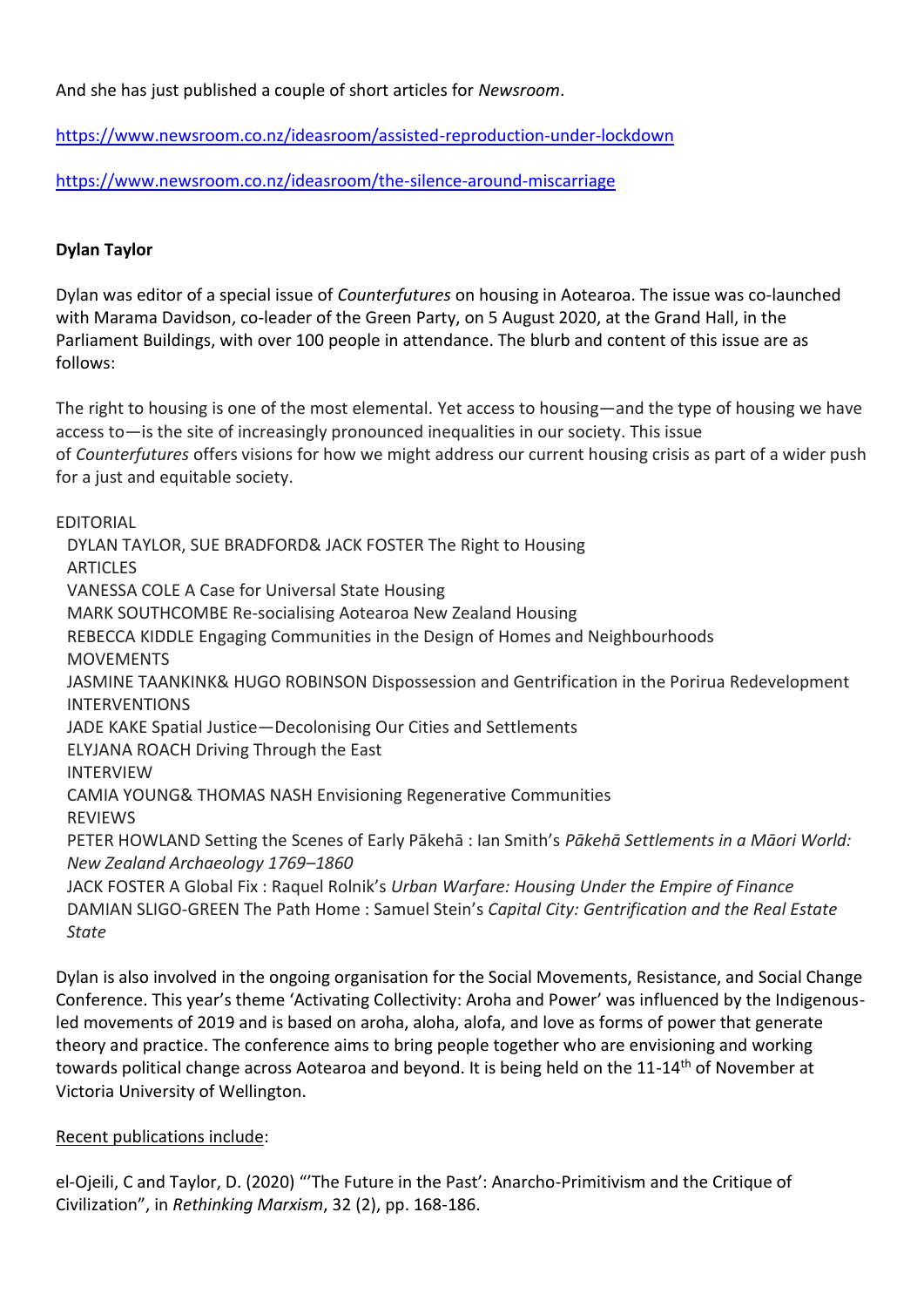And she has just published a couple of short articles for *Newsroom*.

<https://www.newsroom.co.nz/ideasroom/assisted-reproduction-under-lockdown>

[https://www.newsroom.co.nz/ideasroom/the-silence-around-miscarriage](https://apc01.safelinks.protection.outlook.com/?url=https%3A%2F%2Fwww.newsroom.co.nz%2Fideasroom%2Fthe-silence-around-miscarriage&data=02%7C01%7Cchamsy.el-ojeili%40vuw.ac.nz%7C6880f3bc01614108523208d854fa1da9%7Ccfe63e236951427e8683bb84dcf1d20c%7C0%7C0%7C637352780569978009&sdata=%2FJdZCyGt59MInZ4tvUaLJZscNZ2RUbYVG0XRvDQQT5Q%3D&reserved=0)

### **Dylan Taylor**

Dylan was editor of a special issue of *Counterfutures* on housing in Aotearoa. The issue was co-launched with Marama Davidson, co-leader of the Green Party, on 5 August 2020, at the Grand Hall, in the Parliament Buildings, with over 100 people in attendance. The blurb and content of this issue are as follows:

The right to housing is one of the most elemental. Yet access to housing—and the type of housing we have access to—is the site of increasingly pronounced inequalities in our society. This issue of *Counterfutures* offers visions for how we might address our current housing crisis as part of a wider push for a just and equitable society.

EDITORIAL

DYLAN TAYLOR, SUE BRADFORD& JACK FOSTER The Right to Housing ARTICLES VANESSA COLE A Case for Universal State Housing MARK SOUTHCOMBE Re-socialising Aotearoa New Zealand Housing REBECCA KIDDLE Engaging Communities in the Design of Homes and Neighbourhoods **MOVEMENTS** JASMINE TAANKINK& HUGO ROBINSON Dispossession and Gentrification in the Porirua Redevelopment INTERVENTIONS JADE KAKE Spatial Justice—Decolonising Our Cities and Settlements ELYJANA ROACH Driving Through the East INTERVIEW CAMIA YOUNG& THOMAS NASH Envisioning Regenerative Communities REVIEWS PETER HOWLAND Setting the Scenes of Early Pākehā : Ian Smith's *Pākehā Settlements in a Māori World: New Zealand Archaeology 1769–1860* JACK FOSTER A Global Fix : Raquel Rolnik's *Urban Warfare: Housing Under the Empire of Finance* DAMIAN SLIGO-GREEN The Path Home : Samuel Stein's *Capital City: Gentrification and the Real Estate State*

Dylan is also involved in the ongoing organisation for the Social Movements, Resistance, and Social Change Conference. This year's theme 'Activating Collectivity: Aroha and Power' was influenced by the Indigenousled movements of 2019 and is based on aroha, aloha, alofa, and love as forms of power that generate theory and practice. The conference aims to bring people together who are envisioning and working towards political change across Aotearoa and beyond. It is being held on the 11-14<sup>th</sup> of November at Victoria University of Wellington.

#### Recent publications include:

el-Ojeili, C and Taylor, D. (2020) "'The Future in the Past': Anarcho-Primitivism and the Critique of Civilization", in *Rethinking Marxism*, 32 (2), pp. 168-186.